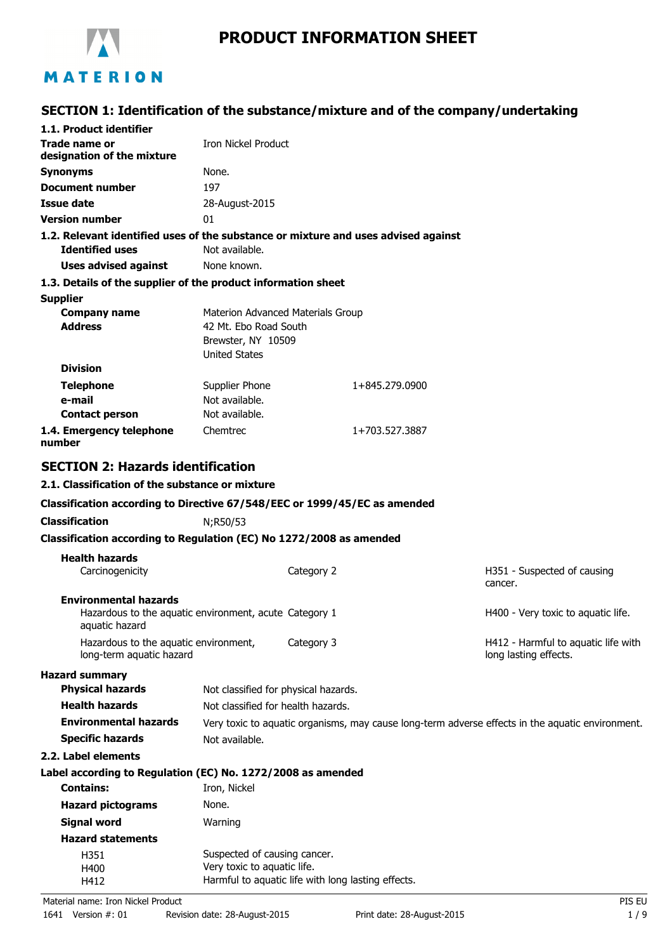

# **PRODUCT INFORMATION SHEET**

# **SECTION 1: Identification of the substance/mixture and of the company/undertaking**

| 1.1. Product identifier                                                                                  |                                                                     |            |                |                                                                                                  |
|----------------------------------------------------------------------------------------------------------|---------------------------------------------------------------------|------------|----------------|--------------------------------------------------------------------------------------------------|
| Trade name or<br>designation of the mixture                                                              | <b>Iron Nickel Product</b>                                          |            |                |                                                                                                  |
| <b>Synonyms</b>                                                                                          | None.                                                               |            |                |                                                                                                  |
| <b>Document number</b>                                                                                   | 197                                                                 |            |                |                                                                                                  |
| <b>Issue date</b>                                                                                        | 28-August-2015                                                      |            |                |                                                                                                  |
| <b>Version number</b>                                                                                    | 01                                                                  |            |                |                                                                                                  |
| 1.2. Relevant identified uses of the substance or mixture and uses advised against                       |                                                                     |            |                |                                                                                                  |
| <b>Identified uses</b>                                                                                   | Not available.                                                      |            |                |                                                                                                  |
| <b>Uses advised against</b>                                                                              | None known.                                                         |            |                |                                                                                                  |
| 1.3. Details of the supplier of the product information sheet                                            |                                                                     |            |                |                                                                                                  |
| <b>Supplier</b>                                                                                          |                                                                     |            |                |                                                                                                  |
| <b>Company name</b>                                                                                      | Materion Advanced Materials Group                                   |            |                |                                                                                                  |
| <b>Address</b>                                                                                           | 42 Mt. Ebo Road South<br>Brewster, NY 10509<br><b>United States</b> |            |                |                                                                                                  |
| <b>Division</b>                                                                                          |                                                                     |            |                |                                                                                                  |
| <b>Telephone</b>                                                                                         | Supplier Phone                                                      |            | 1+845.279.0900 |                                                                                                  |
| e-mail                                                                                                   | Not available.                                                      |            |                |                                                                                                  |
| <b>Contact person</b>                                                                                    | Not available.                                                      |            |                |                                                                                                  |
| 1.4. Emergency telephone<br>number                                                                       | Chemtrec                                                            |            | 1+703.527.3887 |                                                                                                  |
| <b>SECTION 2: Hazards identification</b>                                                                 |                                                                     |            |                |                                                                                                  |
| 2.1. Classification of the substance or mixture                                                          |                                                                     |            |                |                                                                                                  |
| Classification according to Directive 67/548/EEC or 1999/45/EC as amended                                |                                                                     |            |                |                                                                                                  |
| <b>Classification</b>                                                                                    | N;R50/53                                                            |            |                |                                                                                                  |
| Classification according to Regulation (EC) No 1272/2008 as amended                                      |                                                                     |            |                |                                                                                                  |
| <b>Health hazards</b>                                                                                    |                                                                     |            |                |                                                                                                  |
| Carcinogenicity                                                                                          |                                                                     | Category 2 |                | H351 - Suspected of causing<br>cancer.                                                           |
| <b>Environmental hazards</b><br>Hazardous to the aquatic environment, acute Category 1<br>aquatic hazard |                                                                     |            |                | H400 - Very toxic to aquatic life.                                                               |
| Hazardous to the aquatic environment,<br>long-term aquatic hazard                                        |                                                                     | Category 3 |                | H412 - Harmful to aquatic life with<br>long lasting effects.                                     |
| <b>Hazard summary</b>                                                                                    |                                                                     |            |                |                                                                                                  |
| <b>Physical hazards</b>                                                                                  | Not classified for physical hazards.                                |            |                |                                                                                                  |
| <b>Health hazards</b>                                                                                    | Not classified for health hazards.                                  |            |                |                                                                                                  |
| <b>Environmental hazards</b>                                                                             |                                                                     |            |                | Very toxic to aquatic organisms, may cause long-term adverse effects in the aquatic environment. |
| <b>Specific hazards</b>                                                                                  | Not available.                                                      |            |                |                                                                                                  |
| 2.2. Label elements                                                                                      |                                                                     |            |                |                                                                                                  |
| Label according to Regulation (EC) No. 1272/2008 as amended                                              |                                                                     |            |                |                                                                                                  |
| <b>Contains:</b>                                                                                         | Iron, Nickel                                                        |            |                |                                                                                                  |
| <b>Hazard pictograms</b>                                                                                 | None.                                                               |            |                |                                                                                                  |
| <b>Signal word</b>                                                                                       | Warning                                                             |            |                |                                                                                                  |
| <b>Hazard statements</b>                                                                                 |                                                                     |            |                |                                                                                                  |
| H351                                                                                                     | Suspected of causing cancer.                                        |            |                |                                                                                                  |
| H400                                                                                                     | Very toxic to aquatic life.                                         |            |                |                                                                                                  |
| H412                                                                                                     | Harmful to aquatic life with long lasting effects.                  |            |                |                                                                                                  |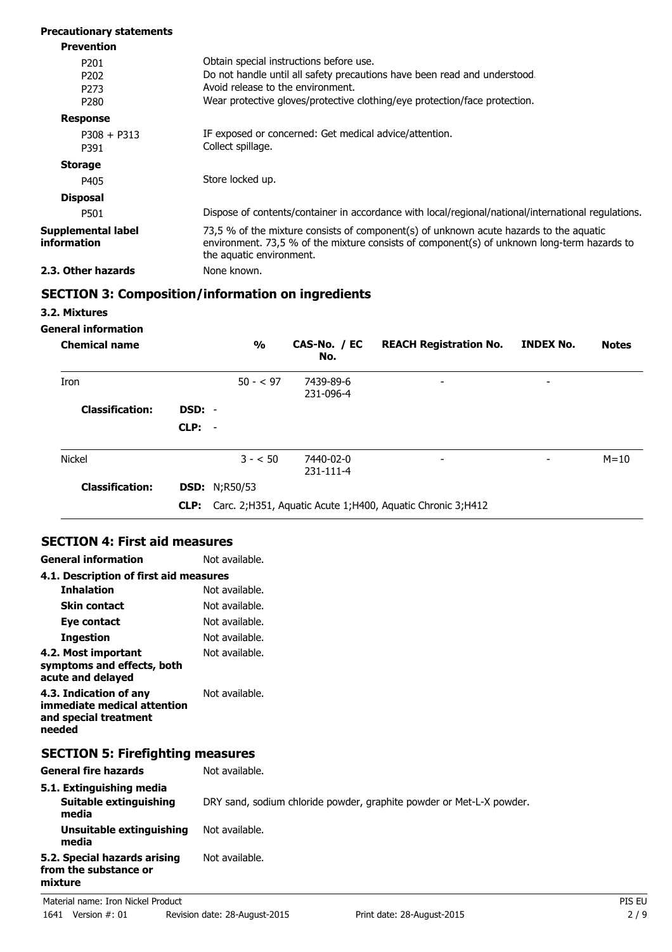| <b>Precautionary statements</b>          |                                                                                                                                                                                                                   |
|------------------------------------------|-------------------------------------------------------------------------------------------------------------------------------------------------------------------------------------------------------------------|
| <b>Prevention</b>                        |                                                                                                                                                                                                                   |
| P <sub>201</sub>                         | Obtain special instructions before use.                                                                                                                                                                           |
| P <sub>202</sub>                         | Do not handle until all safety precautions have been read and understood.                                                                                                                                         |
| P <sub>273</sub>                         | Avoid release to the environment.                                                                                                                                                                                 |
| P <sub>280</sub>                         | Wear protective gloves/protective clothing/eye protection/face protection.                                                                                                                                        |
| <b>Response</b>                          |                                                                                                                                                                                                                   |
| $P308 + P313$                            | IF exposed or concerned: Get medical advice/attention.                                                                                                                                                            |
| P391                                     | Collect spillage.                                                                                                                                                                                                 |
| <b>Storage</b>                           |                                                                                                                                                                                                                   |
| P405                                     | Store locked up.                                                                                                                                                                                                  |
| <b>Disposal</b>                          |                                                                                                                                                                                                                   |
| P501                                     | Dispose of contents/container in accordance with local/regional/national/international regulations.                                                                                                               |
| <b>Supplemental label</b><br>information | 73,5 % of the mixture consists of component(s) of unknown acute hazards to the aquatic<br>environment. 73,5 % of the mixture consists of component(s) of unknown long-term hazards to<br>the aquatic environment. |
| 2.3. Other hazards                       | None known.                                                                                                                                                                                                       |

# **SECTION 3: Composition/information on ingredients**

## **3.2. Mixtures**

## **General information**

| <b>Chemical name</b>   |          | $\frac{0}{0}$        | CAS-No. / EC<br>No.    | <b>REACH Registration No.</b>                                      | <b>INDEX No.</b>         | <b>Notes</b> |
|------------------------|----------|----------------------|------------------------|--------------------------------------------------------------------|--------------------------|--------------|
| Iron                   |          | $50 - 597$           | 7439-89-6<br>231-096-4 | $\overline{\phantom{a}}$                                           | $\overline{\phantom{a}}$ |              |
| <b>Classification:</b> | DSD: -   |                      |                        |                                                                    |                          |              |
|                        | $CLP: -$ |                      |                        |                                                                    |                          |              |
| Nickel                 |          | $3 - 50$             | 7440-02-0<br>231-111-4 | $\overline{\phantom{0}}$                                           |                          | $M = 10$     |
| <b>Classification:</b> |          | <b>DSD: N;R50/53</b> |                        |                                                                    |                          |              |
|                        |          |                      |                        | CLP: Carc. 2; H351, Aquatic Acute 1; H400, Aquatic Chronic 3; H412 |                          |              |

# **SECTION 4: First aid measures**

| <b>General information</b>                                                               | Not available.                                                       |        |
|------------------------------------------------------------------------------------------|----------------------------------------------------------------------|--------|
| 4.1. Description of first aid measures                                                   |                                                                      |        |
| <b>Inhalation</b>                                                                        | Not available.                                                       |        |
| <b>Skin contact</b>                                                                      | Not available.                                                       |        |
| Eye contact                                                                              | Not available.                                                       |        |
| <b>Ingestion</b>                                                                         | Not available.                                                       |        |
| 4.2. Most important<br>symptoms and effects, both<br>acute and delayed                   | Not available.                                                       |        |
| 4.3. Indication of any<br>immediate medical attention<br>and special treatment<br>needed | Not available.                                                       |        |
| <b>SECTION 5: Firefighting measures</b>                                                  |                                                                      |        |
| <b>General fire hazards</b>                                                              | Not available.                                                       |        |
| 5.1. Extinguishing media<br><b>Suitable extinguishing</b><br>media                       | DRY sand, sodium chloride powder, graphite powder or Met-L-X powder. |        |
| Unsuitable extinguishing<br>media                                                        | Not available.                                                       |        |
| 5.2. Special hazards arising<br>from the substance or<br>mixture                         | Not available.                                                       |        |
| Material name: Iron Nickel Product                                                       |                                                                      | PIS EU |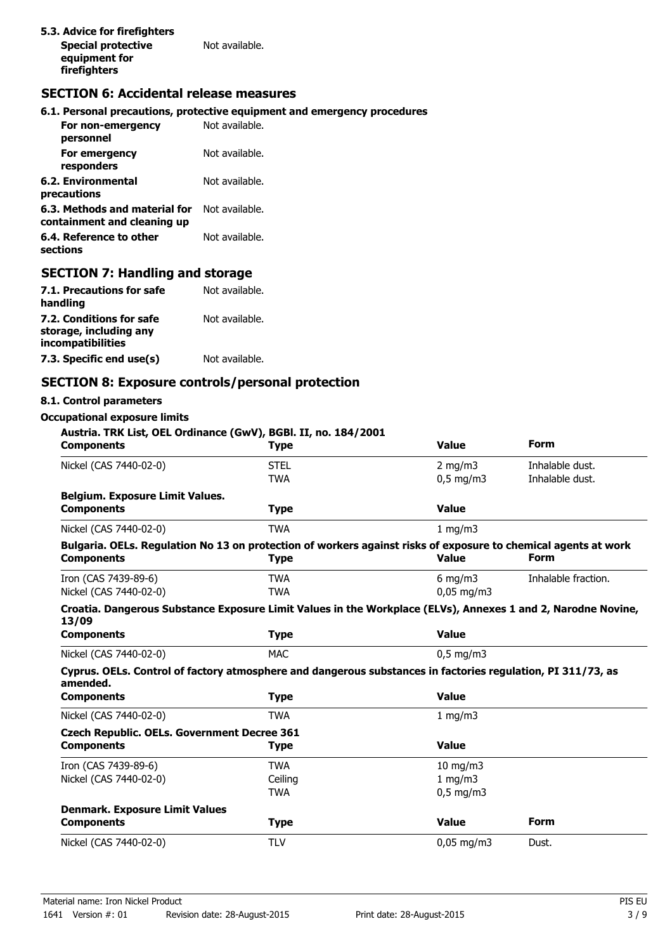# **SECTION 6: Accidental release measures**

#### **6.1. Personal precautions, protective equipment and emergency procedures**

| For non-emergency<br>personnel                               | Not available. |
|--------------------------------------------------------------|----------------|
| For emergency<br>responders                                  | Not available. |
| 6.2. Environmental<br>precautions                            | Not available. |
| 6.3. Methods and material for<br>containment and cleaning up | Not available. |
| 6.4. Reference to other<br>sections                          | Not available. |

## **SECTION 7: Handling and storage**

| 7.1. Precautions for safe<br>handling                                   | Not available. |
|-------------------------------------------------------------------------|----------------|
| 7.2. Conditions for safe<br>storage, including any<br>incompatibilities | Not available. |
| 7.3. Specific end use(s)                                                | Not available. |

## **SECTION 8: Exposure controls/personal protection**

## **8.1. Control parameters**

#### **Occupational exposure limits**

# **Austria. TRK List, OEL Ordinance (GwV), BGBl. II, no. 184/2001 Components Type Value Form** Nickel (CAS 7440-02-0) STEL STEL 2 mg/m3 Inhalable dust. TWA 0,5 mg/m3 Inhalable dust. **Belgium. Exposure Limit Values. Components Type Value** Nickel (CAS 7440-02-0) TWA 1 mg/m3 **Bulgaria. OELs. Regulation No 13 on protection of workers against risks of exposure to chemical agents at work Components Type Value Form** Iron (CAS 7439-89-6) TWA TWA 6 mg/m3 Inhalable fraction. Nickel (CAS 7440-02-0) TWA TWA 0,05 mg/m3 **Croatia. Dangerous Substance Exposure Limit Values in the Workplace (ELVs), Annexes 1 and 2, Narodne Novine, 13/09 Components Type Value** Nickel (CAS 7440-02-0) MAC 0,5 mg/m3 **Cyprus. OELs. Control of factory atmosphere and dangerous substances in factories regulation, PI 311/73, as amended. Components Type Value** Nickel (CAS 7440-02-0) TWA 1 mg/m3 **Czech Republic. OELs. Government Decree 361 Components Type Value** Iron (CAS 7439-89-6) TWA 10 mg/m3 Nickel (CAS 7440-02-0) **Ceiling** Communication of the 1 mg/m3 TWA 0,5 mg/m3 **Denmark. Exposure Limit Values Components Type Value Form** Nickel (CAS 7440-02-0) TLV TLV 0,05 mg/m3 Dust.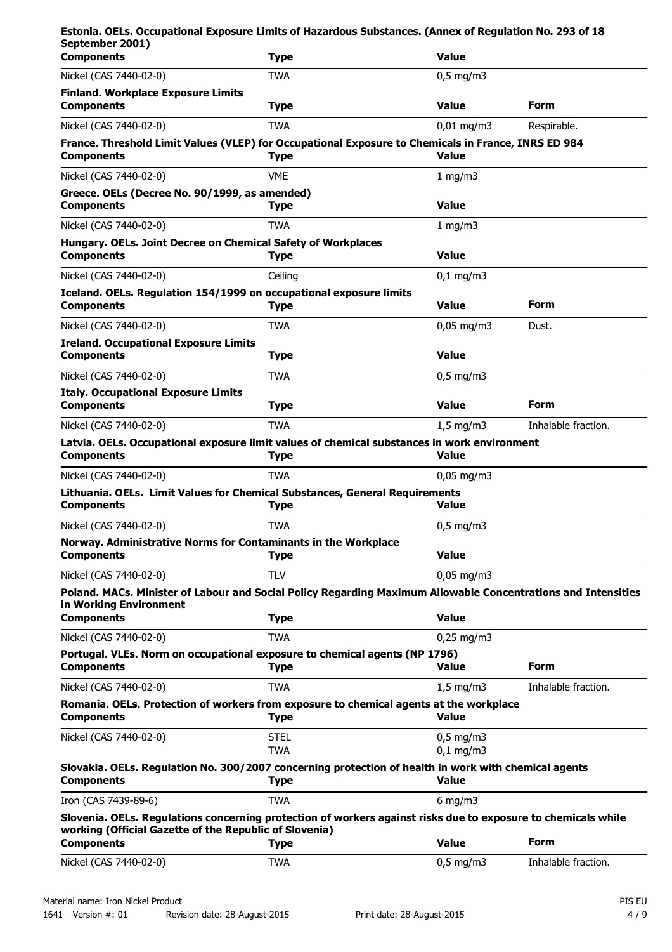| Estonia. OELs. Occupational Exposure Limits of Hazardous Substances. (Annex of Regulation No. 293 of 18<br>September 2001)                                              |                           |                            |                     |
|-------------------------------------------------------------------------------------------------------------------------------------------------------------------------|---------------------------|----------------------------|---------------------|
| <b>Components</b>                                                                                                                                                       | <b>Type</b>               | <b>Value</b>               |                     |
| Nickel (CAS 7440-02-0)                                                                                                                                                  | <b>TWA</b>                | $0,5$ mg/m3                |                     |
| <b>Finland. Workplace Exposure Limits</b><br><b>Components</b>                                                                                                          | <b>Type</b>               | <b>Value</b>               | <b>Form</b>         |
| Nickel (CAS 7440-02-0)                                                                                                                                                  | <b>TWA</b>                | $0,01 \text{ mg/m}$ 3      | Respirable.         |
| France. Threshold Limit Values (VLEP) for Occupational Exposure to Chemicals in France, INRS ED 984<br><b>Components</b>                                                | <b>Type</b>               | <b>Value</b>               |                     |
| Nickel (CAS 7440-02-0)                                                                                                                                                  | <b>VME</b>                | 1 $mq/m3$                  |                     |
| Greece. OELs (Decree No. 90/1999, as amended)<br><b>Components</b>                                                                                                      | <b>Type</b>               | <b>Value</b>               |                     |
| Nickel (CAS 7440-02-0)                                                                                                                                                  | TWA                       | 1 mg/m3                    |                     |
| Hungary. OELs. Joint Decree on Chemical Safety of Workplaces<br><b>Components</b>                                                                                       | <b>Type</b>               | <b>Value</b>               |                     |
| Nickel (CAS 7440-02-0)                                                                                                                                                  | Ceiling                   | $0,1$ mg/m3                |                     |
| Iceland. OELs. Regulation 154/1999 on occupational exposure limits<br><b>Components</b>                                                                                 | <b>Type</b>               | <b>Value</b>               | Form                |
| Nickel (CAS 7440-02-0)                                                                                                                                                  | TWA                       | $0,05$ mg/m3               | Dust.               |
| <b>Ireland. Occupational Exposure Limits</b><br><b>Components</b>                                                                                                       | <b>Type</b>               | <b>Value</b>               |                     |
| Nickel (CAS 7440-02-0)                                                                                                                                                  | <b>TWA</b>                | $0,5$ mg/m3                |                     |
| <b>Italy. Occupational Exposure Limits</b><br><b>Components</b>                                                                                                         | <b>Type</b>               | <b>Value</b>               | Form                |
| Nickel (CAS 7440-02-0)                                                                                                                                                  | <b>TWA</b>                | $1,5$ mg/m3                | Inhalable fraction. |
| Latvia. OELs. Occupational exposure limit values of chemical substances in work environment<br><b>Components</b>                                                        | <b>Type</b>               | <b>Value</b>               |                     |
| Nickel (CAS 7440-02-0)                                                                                                                                                  | <b>TWA</b>                | $0,05 \,\mathrm{mg/m}$     |                     |
| Lithuania. OELs. Limit Values for Chemical Substances, General Requirements<br><b>Components</b>                                                                        | <b>Type</b>               | <b>Value</b>               |                     |
| Nickel (CAS 7440-02-0)                                                                                                                                                  | <b>TWA</b>                | $0.5$ mg/m3                |                     |
| Norway. Administrative Norms for Contaminants in the Workplace<br><b>Components</b>                                                                                     | <b>Type</b>               | <b>Value</b>               |                     |
| Nickel (CAS 7440-02-0)                                                                                                                                                  | <b>TLV</b>                | $0,05 \,\mathrm{mg/m}$     |                     |
| Poland. MACs. Minister of Labour and Social Policy Regarding Maximum Allowable Concentrations and Intensities<br>in Working Environment                                 |                           |                            |                     |
| <b>Components</b>                                                                                                                                                       | <b>Type</b>               | <b>Value</b>               |                     |
| Nickel (CAS 7440-02-0)                                                                                                                                                  | <b>TWA</b>                | $0,25$ mg/m3               |                     |
| Portugal. VLEs. Norm on occupational exposure to chemical agents (NP 1796)<br><b>Components</b>                                                                         | <b>Type</b>               | <b>Value</b>               | <b>Form</b>         |
| Nickel (CAS 7440-02-0)                                                                                                                                                  | TWA                       | $1,5$ mg/m3                | Inhalable fraction. |
| Romania. OELs. Protection of workers from exposure to chemical agents at the workplace<br><b>Components</b>                                                             | <b>Type</b>               | <b>Value</b>               |                     |
| Nickel (CAS 7440-02-0)                                                                                                                                                  | <b>STEL</b><br><b>TWA</b> | $0,5$ mg/m3<br>$0,1$ mg/m3 |                     |
| Slovakia. OELs. Regulation No. 300/2007 concerning protection of health in work with chemical agents<br><b>Components</b>                                               | <b>Type</b>               | <b>Value</b>               |                     |
| Iron (CAS 7439-89-6)                                                                                                                                                    | <b>TWA</b>                | $6$ mg/m $3$               |                     |
| Slovenia. OELs. Regulations concerning protection of workers against risks due to exposure to chemicals while<br>working (Official Gazette of the Republic of Slovenia) |                           |                            |                     |
| <b>Components</b>                                                                                                                                                       | <b>Type</b>               | <b>Value</b>               | <b>Form</b>         |
| Nickel (CAS 7440-02-0)                                                                                                                                                  | <b>TWA</b>                | $0,5$ mg/m3                | Inhalable fraction. |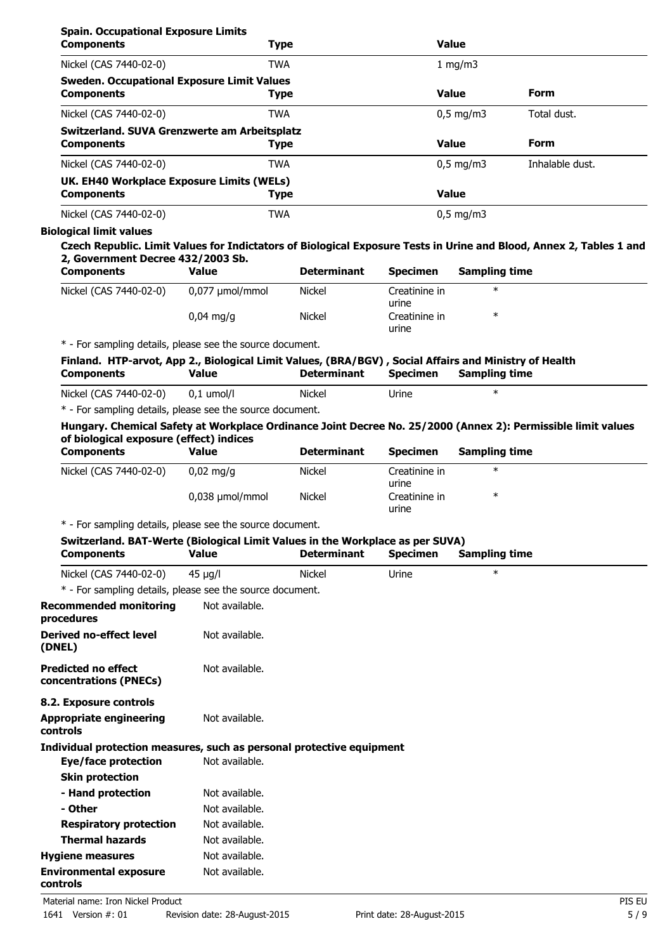| <b>Spain. Occupational Exposure Limits</b>        |             |                    |                 |
|---------------------------------------------------|-------------|--------------------|-----------------|
| <b>Components</b>                                 | <b>Type</b> | <b>Value</b>       |                 |
| Nickel (CAS 7440-02-0)                            | <b>TWA</b>  | 1 $mq/m3$          |                 |
| <b>Sweden. Occupational Exposure Limit Values</b> |             |                    |                 |
| <b>Components</b>                                 | <b>Type</b> | <b>Value</b>       | <b>Form</b>     |
| Nickel (CAS 7440-02-0)                            | <b>TWA</b>  | $0.5$ mg/m3        | Total dust.     |
| Switzerland. SUVA Grenzwerte am Arbeitsplatz      |             |                    |                 |
| <b>Components</b>                                 | <b>Type</b> | <b>Value</b>       | <b>Form</b>     |
| Nickel (CAS 7440-02-0)                            | <b>TWA</b>  | $0.5 \text{ mg/m}$ | Inhalable dust. |
| UK. EH40 Workplace Exposure Limits (WELs)         |             |                    |                 |
| <b>Components</b>                                 | Type        | <b>Value</b>       |                 |
| Nickel (CAS 7440-02-0)                            | <b>TWA</b>  | $0.5 \text{ mg/m}$ |                 |

## **Biological limit values**

**Czech Republic. Limit Values for Indictators of Biological Exposure Tests in Urine and Blood, Annex 2, Tables 1 and 2, Government Decree 432/2003 Sb.**

| <b>Components</b>      | Value                  | <b>Determinant</b> | <b>Specimen</b>        | <b>Sampling time</b> |  |
|------------------------|------------------------|--------------------|------------------------|----------------------|--|
| Nickel (CAS 7440-02-0) | 0,077 umol/mmol        | <b>Nickel</b>      | Creatinine in<br>urine | ∗                    |  |
|                        | $0.04 \,\mathrm{mq/q}$ | <b>Nickel</b>      | Creatinine in<br>urine | ж                    |  |

\* - For sampling details, please see the source document.

|                   |              |                    |          | Finland. HTP-arvot, App 2., Biological Limit Values, (BRA/BGV), Social Affairs and Ministry of Health |
|-------------------|--------------|--------------------|----------|-------------------------------------------------------------------------------------------------------|
| <b>Components</b> | <b>Value</b> | <b>Determinant</b> | Specimen | Sampling time                                                                                         |
|                   |              |                    |          |                                                                                                       |

Nickel (CAS 7440-02-0) 0,1 umol/l Nickel Urine \*

\* - For sampling details, please see the source document.

## **Hungary. Chemical Safety at Workplace Ordinance Joint Decree No. 25/2000 (Annex 2): Permissible limit values of biological exposure (effect) indices**

| <b>Components</b>      | Value             | <b>Determinant</b> | <b>Specimen</b>        | <b>Sampling time</b> |  |
|------------------------|-------------------|--------------------|------------------------|----------------------|--|
| Nickel (CAS 7440-02-0) | $0.02$ ma/a       | <b>Nickel</b>      | Creatinine in<br>urine | $\ast$               |  |
|                        | $0.038$ µmol/mmol | <b>Nickel</b>      | Creatinine in<br>urine | ∗                    |  |

\* - For sampling details, please see the source document.

| Switzerland. BAT-Werte (Biological Limit Values in the Workplace as per SUVA)<br><b>Components</b> | <b>Value</b>   | <b>Determinant</b> | <b>Specimen</b> | <b>Sampling time</b> |  |
|----------------------------------------------------------------------------------------------------|----------------|--------------------|-----------------|----------------------|--|
| Nickel (CAS 7440-02-0)                                                                             | $45 \mu g/l$   | <b>Nickel</b>      | Urine           | $\ast$               |  |
| * - For sampling details, please see the source document.                                          |                |                    |                 |                      |  |
| <b>Recommended monitoring</b><br>procedures                                                        | Not available. |                    |                 |                      |  |
| <b>Derived no-effect level</b><br>(DNEL)                                                           | Not available. |                    |                 |                      |  |
| <b>Predicted no effect</b><br>concentrations (PNECs)                                               | Not available. |                    |                 |                      |  |
| 8.2. Exposure controls                                                                             |                |                    |                 |                      |  |
| Appropriate engineering<br>controls                                                                | Not available. |                    |                 |                      |  |
| Individual protection measures, such as personal protective equipment                              |                |                    |                 |                      |  |
| Eye/face protection                                                                                | Not available. |                    |                 |                      |  |
| <b>Skin protection</b>                                                                             |                |                    |                 |                      |  |
| - Hand protection                                                                                  | Not available. |                    |                 |                      |  |
| - Other                                                                                            | Not available. |                    |                 |                      |  |
| <b>Respiratory protection</b>                                                                      | Not available. |                    |                 |                      |  |
| <b>Thermal hazards</b>                                                                             | Not available. |                    |                 |                      |  |
| <b>Hygiene measures</b>                                                                            | Not available. |                    |                 |                      |  |
| <b>Environmental exposure</b><br>controls                                                          | Not available. |                    |                 |                      |  |

Material name: Iron Nickel Product PIS EU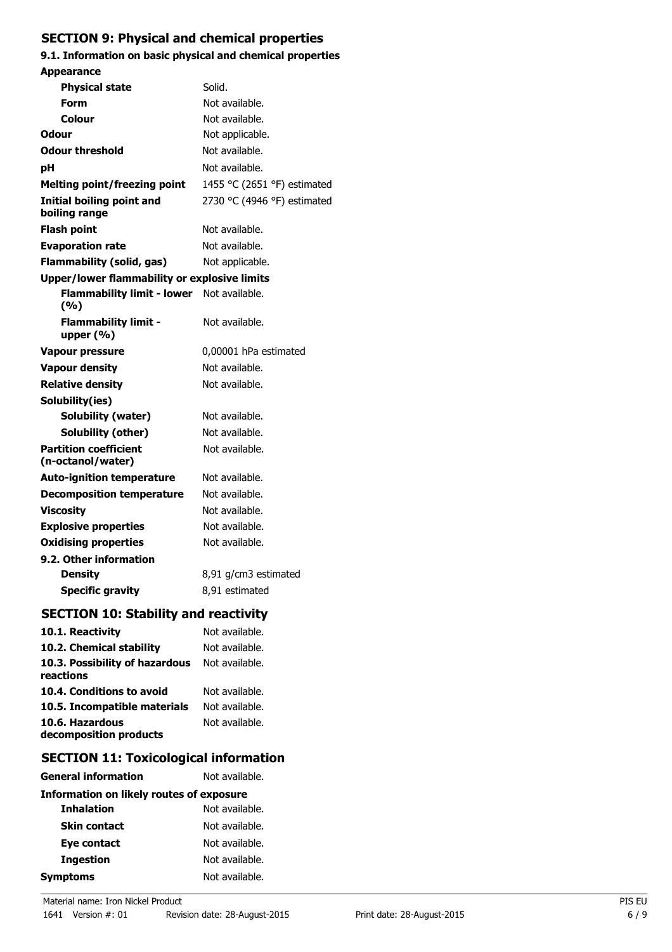# **SECTION 9: Physical and chemical properties**

# **9.1. Information on basic physical and chemical properties**

| <b>Appearance</b>                                 |                             |  |
|---------------------------------------------------|-----------------------------|--|
| Physical state                                    | Solid.                      |  |
| Form                                              | Not available.              |  |
| Colour                                            | Not available.              |  |
| Odour                                             | Not applicable.             |  |
| <b>Odour threshold</b>                            | Not available.              |  |
| рH                                                | Not available.              |  |
| <b>Melting point/freezing point</b>               | 1455 °C (2651 °F) estimated |  |
| Initial boiling point and<br>boiling range        | 2730 °C (4946 °F) estimated |  |
| <b>Flash point</b>                                | Not available.              |  |
| <b>Evaporation rate</b>                           | Not available.              |  |
| Flammability (solid, gas)                         | Not applicable.             |  |
| Upper/lower flammability or explosive limits      |                             |  |
| <b>Flammability limit - lower</b><br>(%)          | Not available.              |  |
| <b>Flammability limit -</b><br>upper $(% )$       | Not available.              |  |
| <b>Vapour pressure</b>                            | 0,00001 hPa estimated       |  |
| <b>Vapour density</b>                             | Not available.              |  |
| <b>Relative density</b>                           | Not available.              |  |
| Solubility(ies)                                   |                             |  |
| <b>Solubility (water)</b>                         | Not available.              |  |
| Solubility (other)                                | Not available.              |  |
| <b>Partition coefficient</b><br>(n-octanol/water) | Not available.              |  |
| <b>Auto-ignition temperature</b>                  | Not available.              |  |
| <b>Decomposition temperature</b>                  | Not available.              |  |
| <b>Viscosity</b>                                  | Not available.              |  |
| <b>Explosive properties</b>                       | Not available.              |  |
| <b>Oxidising properties</b>                       | Not available.              |  |
| 9.2. Other information                            |                             |  |
| <b>Density</b>                                    | 8,91 g/cm3 estimated        |  |
| <b>Specific gravity</b>                           | 8,91 estimated              |  |
| <b>SECTION 10: Stability and reactivity</b>       |                             |  |
| 10.1. Reactivity                                  | Not available.              |  |

| Not available. |
|----------------|
| Not available. |
| Not available. |
| Not available. |
| Not available. |
| Not available. |
|                |

# **SECTION 11: Toxicological information**

| <b>General information</b>                      | Not available. |
|-------------------------------------------------|----------------|
| <b>Information on likely routes of exposure</b> |                |
| <b>Inhalation</b>                               | Not available. |
| <b>Skin contact</b>                             | Not available. |
| Eye contact                                     | Not available. |
| <b>Ingestion</b>                                | Not available. |
| <b>Symptoms</b>                                 | Not available. |
|                                                 |                |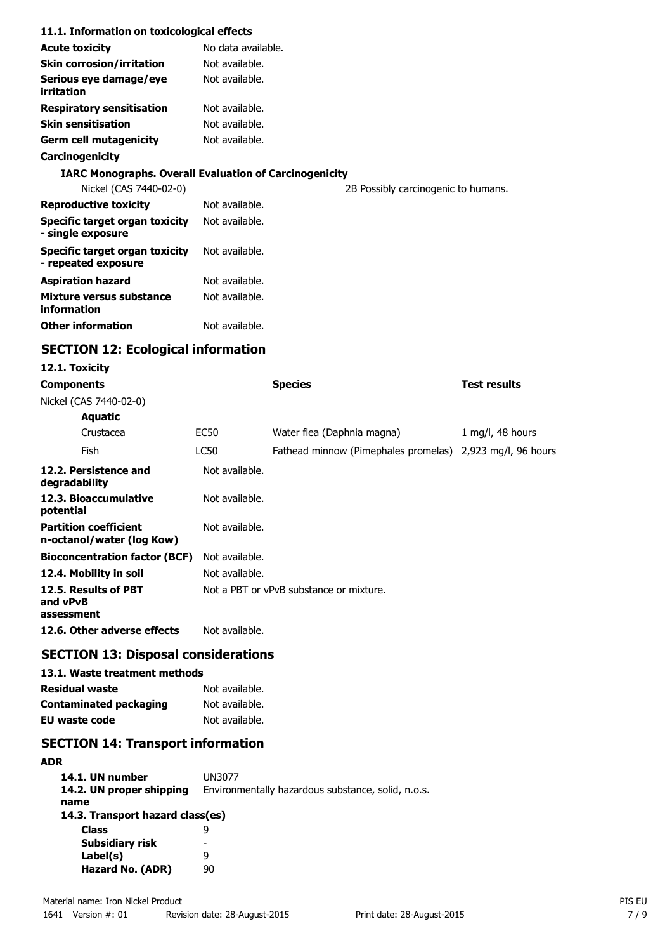### **11.1. Information on toxicological effects**

| <b>Acute toxicity</b>                                         | No data available. |                                     |
|---------------------------------------------------------------|--------------------|-------------------------------------|
| <b>Skin corrosion/irritation</b>                              | Not available.     |                                     |
| Serious eye damage/eye<br>irritation                          | Not available.     |                                     |
| <b>Respiratory sensitisation</b>                              | Not available.     |                                     |
| <b>Skin sensitisation</b>                                     | Not available.     |                                     |
| <b>Germ cell mutagenicity</b>                                 | Not available.     |                                     |
| Carcinogenicity                                               |                    |                                     |
| <b>IARC Monographs. Overall Evaluation of Carcinogenicity</b> |                    |                                     |
| Nickel (CAS 7440-02-0)                                        |                    | 2B Possibly carcinogenic to humans. |
| <b>Reproductive toxicity</b>                                  | Not available.     |                                     |
| Specific target organ toxicity<br>- single exposure           | Not available.     |                                     |
| Specific target organ toxicity<br>- repeated exposure         | Not available.     |                                     |
| <b>Aspiration hazard</b>                                      | Not available.     |                                     |
| Mixture versus substance<br>information                       | Not available.     |                                     |
| <b>Other information</b>                                      | Not available.     |                                     |

# **SECTION 12: Ecological information**

## **12.1. Toxicity**

| Components                                                |                | <b>Species</b>                                            | <b>Test results</b> |
|-----------------------------------------------------------|----------------|-----------------------------------------------------------|---------------------|
| Nickel (CAS 7440-02-0)                                    |                |                                                           |                     |
| Aquatic                                                   |                |                                                           |                     |
| Crustacea                                                 | EC50           | Water flea (Daphnia magna)                                | 1 mg/l, 48 hours    |
| Fish                                                      | LC50           | Fathead minnow (Pimephales promelas) 2,923 mg/l, 96 hours |                     |
| 12.2. Persistence and<br>degradability                    | Not available. |                                                           |                     |
| 12.3. Bioaccumulative<br>potential                        | Not available. |                                                           |                     |
| <b>Partition coefficient</b><br>n-octanol/water (log Kow) | Not available. |                                                           |                     |
| <b>Bioconcentration factor (BCF)</b>                      | Not available. |                                                           |                     |
| 12.4. Mobility in soil                                    | Not available. |                                                           |                     |
| 12.5. Results of PBT<br>and vPvB<br>assessment            |                | Not a PBT or vPvB substance or mixture.                   |                     |
| 12.6. Other adverse effects                               | Not available. |                                                           |                     |
|                                                           |                |                                                           |                     |

# **SECTION 13: Disposal considerations**

## **13.1. Waste treatment methods**

| <b>Residual waste</b>  | Not available. |
|------------------------|----------------|
| Contaminated packaging | Not available. |
| EU waste code          | Not available. |

# **SECTION 14: Transport information**

| <b>ADR</b>                       |                                                    |
|----------------------------------|----------------------------------------------------|
| 14.1. UN number                  | UN3077                                             |
| 14.2. UN proper shipping         | Environmentally hazardous substance, solid, n.o.s. |
| name                             |                                                    |
| 14.3. Transport hazard class(es) |                                                    |
| <b>Class</b>                     | q                                                  |
| <b>Subsidiary risk</b>           |                                                    |
| Label(s)                         | 9                                                  |
| Hazard No. (ADR)                 | 90                                                 |
|                                  |                                                    |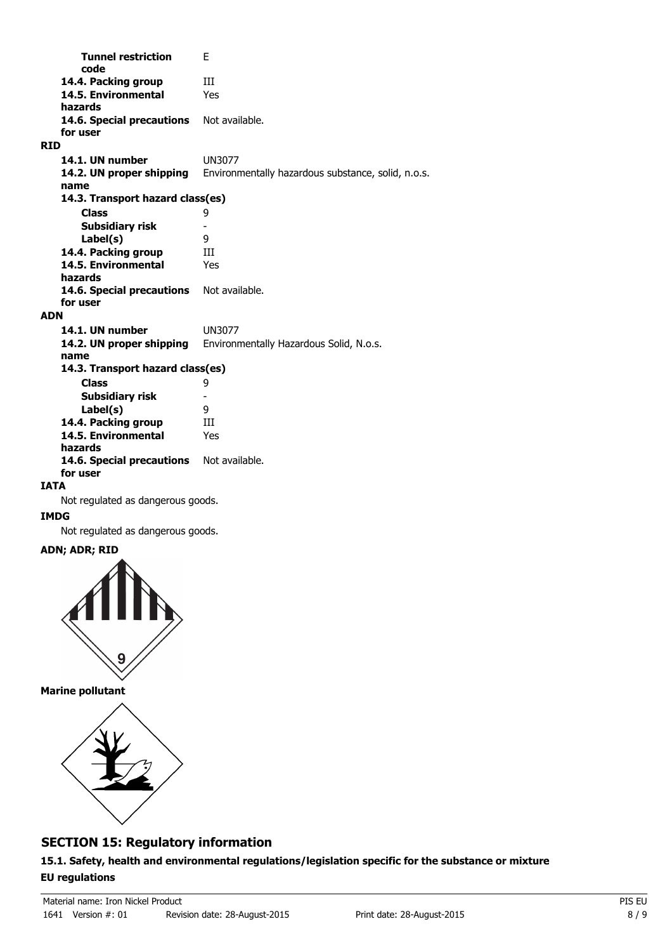**Tunnel restriction** E **code 14.4. Packing group III 14.5. Environmental** Yes **hazards** 14.6. Special precautions Not available. **for user RID 14.1. UN number** UN3077 **14.2. UN proper shipping** Environmentally hazardous substance, solid, n.o.s. **name Class** 9 **14.3. Transport hazard class(es) Subsidiary risk** - **Label(s)** 9 14.4. Packing group **III 14.5. Environmental** Yes **hazards** 14.6. Special precautions Not available. **for user ADN 14.1. UN number** UN3077 **14.2. UN proper shipping** Environmentally Hazardous Solid, N.o.s. **name Class** 9 **14.3. Transport hazard class(es) Subsidiary risk** - **Label(s)** 9 14.4. Packing group **III 14.5. Environmental** Yes **hazards** 14.6. Special precautions Not available. **for user IATA** Not regulated as dangerous goods.

## **IMDG**

Not regulated as dangerous goods.

## **ADN; ADR; RID**



**Marine pollutant**



# **SECTION 15: Regulatory information**

**15.1. Safety, health and environmental regulations/legislation specific for the substance or mixture EU regulations**